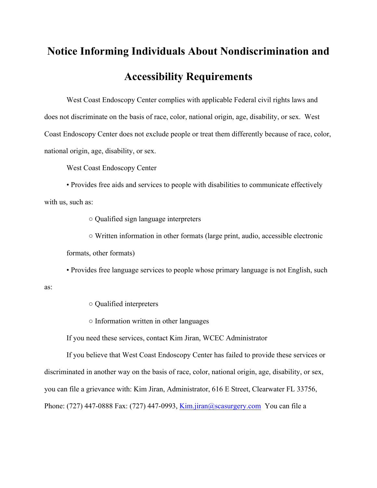# **Notice Informing Individuals About Nondiscrimination and Accessibility Requirements**

West Coast Endoscopy Center complies with applicable Federal civil rights laws and does not discriminate on the basis of race, color, national origin, age, disability, or sex. West Coast Endoscopy Center does not exclude people or treat them differently because of race, color, national origin, age, disability, or sex.

West Coast Endoscopy Center

• Provides free aids and services to people with disabilities to communicate effectively with us, such as:

○ Qualified sign language interpreters

○ Written information in other formats (large print, audio, accessible electronic formats, other formats)

• Provides free language services to people whose primary language is not English, such

○ Qualified interpreters

as:

○ Information written in other languages

If you need these services, contact Kim Jiran, WCEC Administrator

If you believe that West Coast Endoscopy Center has failed to provide these services or discriminated in another way on the basis of race, color, national origin, age, disability, or sex, you can file a grievance with: Kim Jiran, Administrator, 616 E Street, Clearwater FL 33756, Phone: (727) 447-0888 Fax: (727) 447-0993, Kim.jiran@scasurgery.com You can file a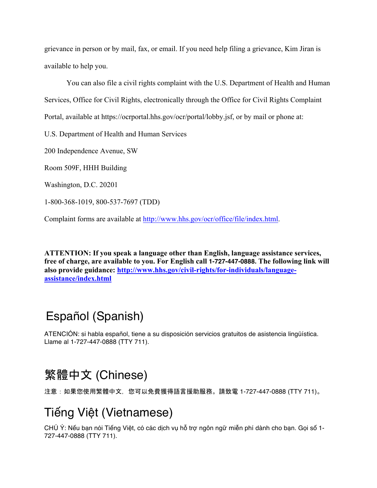grievance in person or by mail, fax, or email. If you need help filing a grievance, Kim Jiran is available to help you.

You can also file a civil rights complaint with the U.S. Department of Health and Human Services, Office for Civil Rights, electronically through the Office for Civil Rights Complaint Portal, available at https://ocrportal.hhs.gov/ocr/portal/lobby.jsf, or by mail or phone at:

U.S. Department of Health and Human Services

200 Independence Avenue, SW

Room 509F, HHH Building

Washington, D.C. 20201

1-800-368-1019, 800-537-7697 (TDD)

Complaint forms are available at http://www.hhs.gov/ocr/office/file/index.html.

**ATTENTION: If you speak a language other than English, language assistance services, free of charge, are available to you. For English call 1-727-447-0888. The following link will also provide guidance: http://www.hhs.gov/civil-rights/for-individuals/languageassistance/index.html**

# Español (Spanish)

ATENCIÓN: si habla español, tiene a su disposición servicios gratuitos de asistencia lingüística. Llame al 1-727-447-0888 (TTY 711).

# 繁體中文 (Chinese)

注意:如果您使用繁體中文,您可以免費獲得語言援助服務。請致電 1-727-447-0888 (TTY 711)。

# Tiếng Việt (Vietnamese)

CHÚ Ý: Nếu bạn nói Tiếng Việt, có các dịch vụ hỗ trợ ngôn ngữ miễn phí dành cho bạn. Gọi số 1- 727-447-0888 (TTY 711).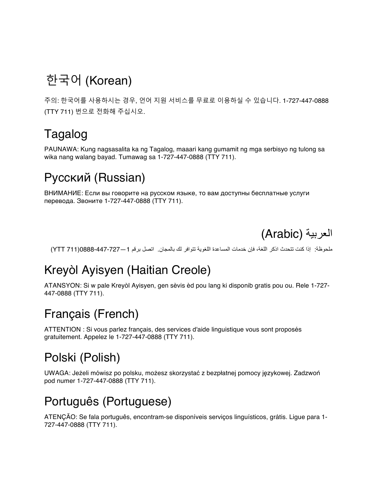# 한국어 (Korean)

주의: 한국어를 사용하시는 경우, 언어 지원 서비스를 무료로 이용하실 수 있습니다. 1-727-447-0888 (TTY 711) 번으로 전화해 주십시오.

# Tagalog

PAUNAWA: Kung nagsasalita ka ng Tagalog, maaari kang gumamit ng mga serbisyo ng tulong sa wika nang walang bayad. Tumawag sa 1-727-447-0888 (TTY 711).

### Русский (Russian)

ВНИМАНИЕ: Если вы говорите на русском языке, то вам доступны бесплатные услуги перевода. Звоните 1-727-447-0888 (TTY 711).



ملحوظة: إذا كنت تتحدث اذكر اللغة، فإن خدمات المساعدة اللغویة تتوافر لك بالمجان. اتصل برقم 1—0888-447-727(711 YTT(

#### Kreyòl Ayisyen (Haitian Creole)

ATANSYON: Si w pale Kreyòl Ayisyen, gen sèvis èd pou lang ki disponib gratis pou ou. Rele 1-727- 447-0888 (TTY 711).

#### Français (French)

ATTENTION : Si vous parlez français, des services d'aide linguistique vous sont proposés gratuitement. Appelez le 1-727-447-0888 (TTY 711).

# Polski (Polish)

UWAGA: Jeżeli mówisz po polsku, możesz skorzystać z bezpłatnej pomocy językowej. Zadzwoń pod numer 1-727-447-0888 (TTY 711).

# Português (Portuguese)

ATENÇÃO: Se fala português, encontram-se disponíveis serviços linguísticos, grátis. Ligue para 1- 727-447-0888 (TTY 711).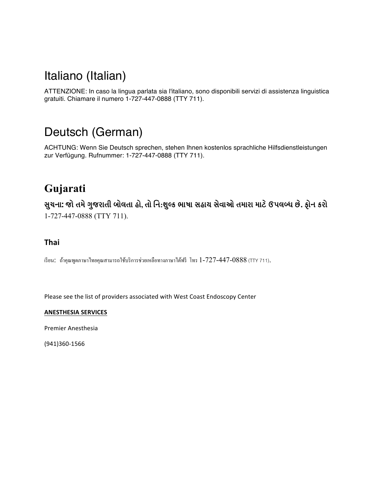#### Italiano (Italian)

ATTENZIONE: In caso la lingua parlata sia l'italiano, sono disponibili servizi di assistenza linguistica gratuiti. Chiamare il numero 1-727-447-0888 (TTY 711).

#### Deutsch (German)

ACHTUNG: Wenn Sie Deutsch sprechen, stehen Ihnen kostenlos sprachliche Hilfsdienstleistungen zur Verfügung. Rufnummer: 1-727-447-0888 (TTY 711).

#### **Gujarati**

સુચના: જો તમે ગુજરાતી બોલતા હો, તો નિ:શુલ્ક ભાષા સહાય સેવાઓ તમારા માટે ઉપલબ્ધ છે. ફોન કરો 1-727-447-0888 (TTY 711).

#### **Thai**

เรียน: ถ้าคุณพูดภาษาไทยคุณสามารถใช้บริการช่วยเหลือทางภาษาได้ฟรี โทร 1-727-447-0888 (TTY 711).

Please see the list of providers associated with West Coast Endoscopy Center

#### **ANESTHESIA SERVICES**

Premier Anesthesia

(941)360-1566